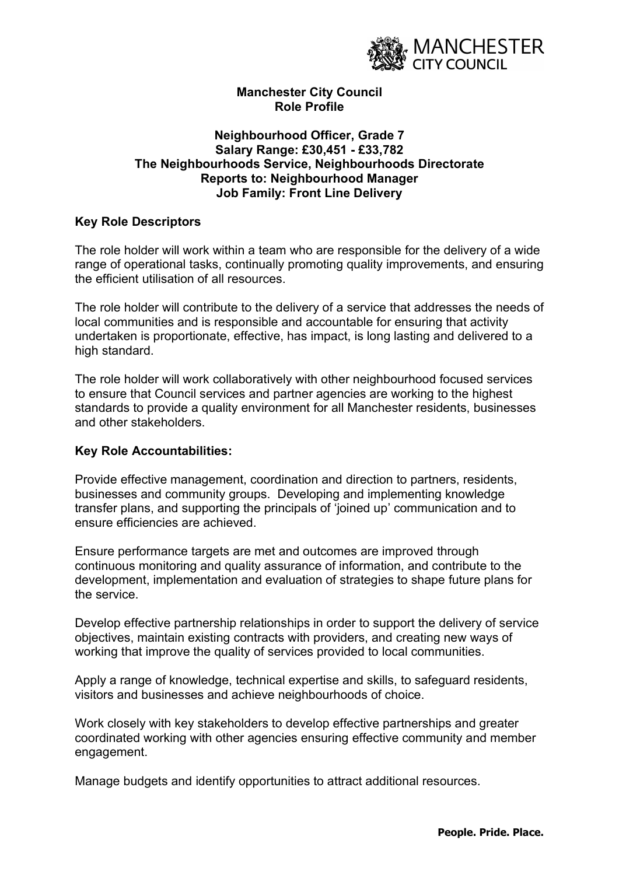

# Manchester City Council Role Profile

# Neighbourhood Officer, Grade 7 Salary Range: £30,451 - £33,782 The Neighbourhoods Service, Neighbourhoods Directorate Reports to: Neighbourhood Manager Job Family: Front Line Delivery

# Key Role Descriptors

The role holder will work within a team who are responsible for the delivery of a wide range of operational tasks, continually promoting quality improvements, and ensuring the efficient utilisation of all resources.

The role holder will contribute to the delivery of a service that addresses the needs of local communities and is responsible and accountable for ensuring that activity undertaken is proportionate, effective, has impact, is long lasting and delivered to a high standard.

The role holder will work collaboratively with other neighbourhood focused services to ensure that Council services and partner agencies are working to the highest standards to provide a quality environment for all Manchester residents, businesses and other stakeholders.

# Key Role Accountabilities:

Provide effective management, coordination and direction to partners, residents, businesses and community groups. Developing and implementing knowledge transfer plans, and supporting the principals of 'joined up' communication and to ensure efficiencies are achieved.

Ensure performance targets are met and outcomes are improved through continuous monitoring and quality assurance of information, and contribute to the development, implementation and evaluation of strategies to shape future plans for the service.

Develop effective partnership relationships in order to support the delivery of service objectives, maintain existing contracts with providers, and creating new ways of working that improve the quality of services provided to local communities.

Apply a range of knowledge, technical expertise and skills, to safeguard residents, visitors and businesses and achieve neighbourhoods of choice.

Work closely with key stakeholders to develop effective partnerships and greater coordinated working with other agencies ensuring effective community and member engagement.

Manage budgets and identify opportunities to attract additional resources.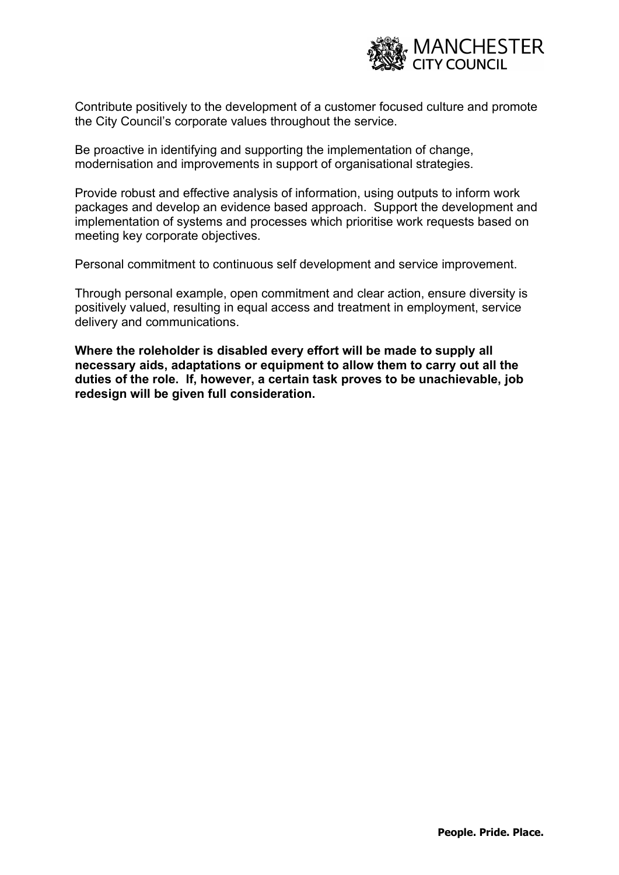

Contribute positively to the development of a customer focused culture and promote the City Council's corporate values throughout the service.

Be proactive in identifying and supporting the implementation of change, modernisation and improvements in support of organisational strategies.

Provide robust and effective analysis of information, using outputs to inform work packages and develop an evidence based approach. Support the development and implementation of systems and processes which prioritise work requests based on meeting key corporate objectives.

Personal commitment to continuous self development and service improvement.

Through personal example, open commitment and clear action, ensure diversity is positively valued, resulting in equal access and treatment in employment, service delivery and communications.

Where the roleholder is disabled every effort will be made to supply all necessary aids, adaptations or equipment to allow them to carry out all the duties of the role. If, however, a certain task proves to be unachievable, job redesign will be given full consideration.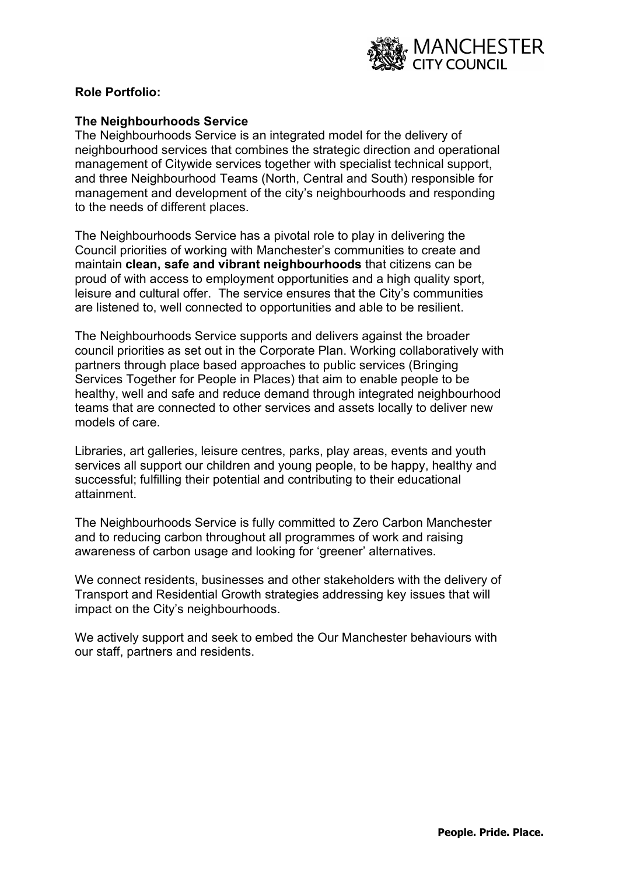

# Role Portfolio:

# The Neighbourhoods Service

The Neighbourhoods Service is an integrated model for the delivery of neighbourhood services that combines the strategic direction and operational management of Citywide services together with specialist technical support, and three Neighbourhood Teams (North, Central and South) responsible for management and development of the city's neighbourhoods and responding to the needs of different places.

The Neighbourhoods Service has a pivotal role to play in delivering the Council priorities of working with Manchester's communities to create and maintain clean, safe and vibrant neighbourhoods that citizens can be proud of with access to employment opportunities and a high quality sport, leisure and cultural offer. The service ensures that the City's communities are listened to, well connected to opportunities and able to be resilient.

The Neighbourhoods Service supports and delivers against the broader council priorities as set out in the Corporate Plan. Working collaboratively with partners through place based approaches to public services (Bringing Services Together for People in Places) that aim to enable people to be healthy, well and safe and reduce demand through integrated neighbourhood teams that are connected to other services and assets locally to deliver new models of care.

Libraries, art galleries, leisure centres, parks, play areas, events and youth services all support our children and young people, to be happy, healthy and successful; fulfilling their potential and contributing to their educational attainment.

The Neighbourhoods Service is fully committed to Zero Carbon Manchester and to reducing carbon throughout all programmes of work and raising awareness of carbon usage and looking for 'greener' alternatives.

We connect residents, businesses and other stakeholders with the delivery of Transport and Residential Growth strategies addressing key issues that will impact on the City's neighbourhoods.

We actively support and seek to embed the Our Manchester behaviours with our staff, partners and residents.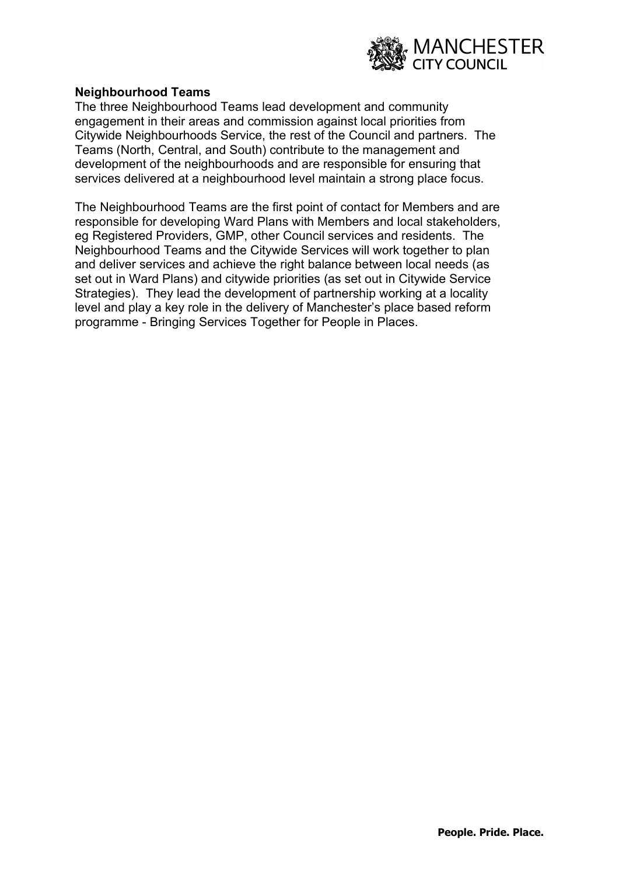

#### Neighbourhood Teams

The three Neighbourhood Teams lead development and community engagement in their areas and commission against local priorities from Citywide Neighbourhoods Service, the rest of the Council and partners. The Teams (North, Central, and South) contribute to the management and development of the neighbourhoods and are responsible for ensuring that services delivered at a neighbourhood level maintain a strong place focus.

The Neighbourhood Teams are the first point of contact for Members and are responsible for developing Ward Plans with Members and local stakeholders, eg Registered Providers, GMP, other Council services and residents. The Neighbourhood Teams and the Citywide Services will work together to plan and deliver services and achieve the right balance between local needs (as set out in Ward Plans) and citywide priorities (as set out in Citywide Service Strategies). They lead the development of partnership working at a locality level and play a key role in the delivery of Manchester's place based reform programme - Bringing Services Together for People in Places.